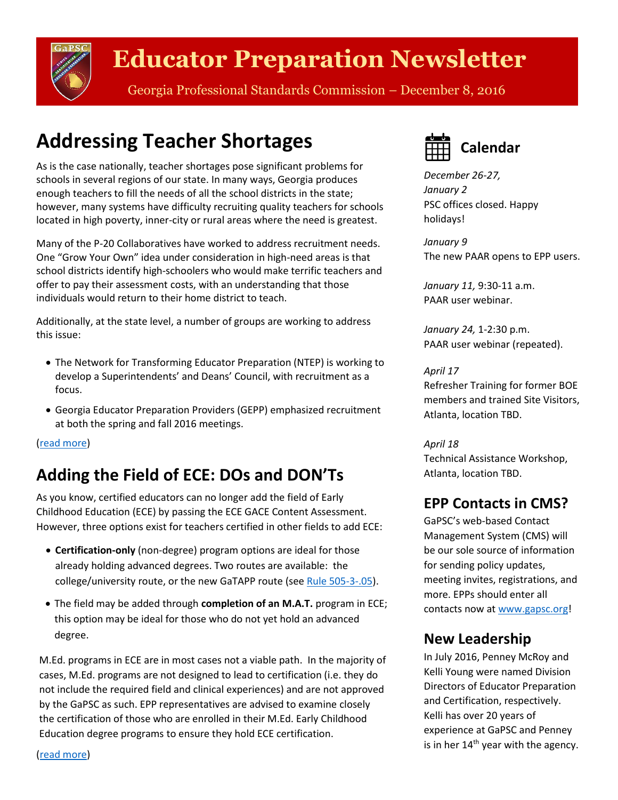

# **Educator Preparation Newsletter**

Georgia Professional Standards Commission – December 8, 2016

## <span id="page-0-0"></span>**Addressing Teacher Shortages**

As is the case nationally, teacher shortages pose significant problems for schools in several regions of our state. In many ways, Georgia produces enough teachers to fill the needs of all the school districts in the state; however, many systems have difficulty recruiting quality teachers for schools located in high poverty, inner-city or rural areas where the need is greatest.

Many of the P-20 Collaboratives have worked to address recruitment needs. One "Grow Your Own" idea under consideration in high-need areas is that school districts identify high-schoolers who would make terrific teachers and offer to pay their assessment costs, with an understanding that those individuals would return to their home district to teach.

Additionally, at the state level, a number of groups are working to address this issue:

- The Network for Transforming Educator Preparation (NTEP) is working to develop a Superintendents' and Deans' Council, with recruitment as a focus.
- Georgia Educator Preparation Providers (GEPP) emphasized recruitment at both the spring and fall 2016 meetings.

[\(read more\)](#page-2-0)

## <span id="page-0-1"></span>**Adding the Field of ECE: DOs and DON'Ts**

As you know, certified educators can no longer add the field of Early Childhood Education (ECE) by passing the ECE GACE Content Assessment. However, three options exist for teachers certified in other fields to add ECE:

- **Certification-only** (non-degree) program options are ideal for those already holding advanced degrees. Two routes are available: the college/university route, or the new GaTAPP route (see [Rule 505-3-.05\)](http://www.gapsc.com/Rules/Current/EducatorPreparation/505-3-.05.pdf?dt=636150806963192074).
- The field may be added through **completion of an M.A.T.** program in ECE; this option may be ideal for those who do not yet hold an advanced degree.

M.Ed. programs in ECE are in most cases not a viable path. In the majority of cases, M.Ed. programs are not designed to lead to certification (i.e. they do not include the required field and clinical experiences) and are not approved by the GaPSC as such. EPP representatives are advised to examine closely the certification of those who are enrolled in their M.Ed. Early Childhood Education degree programs to ensure they hold ECE certification.

**Calendar**

*December 26-27, January 2* PSC offices closed. Happy holidays!

*January 9* The new PAAR opens to EPP users.

*January 11,* 9:30-11 a.m. PAAR user webinar.

*January 24,* 1-2:30 p.m. PAAR user webinar (repeated).

#### *April 17*

Refresher Training for former BOE members and trained Site Visitors, Atlanta, location TBD.

*April 18*

Technical Assistance Workshop, Atlanta, location TBD.

### **EPP Contacts in CMS?**

GaPSC's web-based Contact Management System (CMS) will be our sole source of information for sending policy updates, meeting invites, registrations, and more. EPPs should enter all contacts now a[t www.gapsc.org!](http://www.gapsc.org/)

### **New Leadership**

In July 2016, Penney McRoy and Kelli Young were named Division Directors of Educator Preparation and Certification, respectively. Kelli has over 20 years of experience at GaPSC and Penney is in her  $14<sup>th</sup>$  year with the agency.

[\(read more\)](#page-2-1)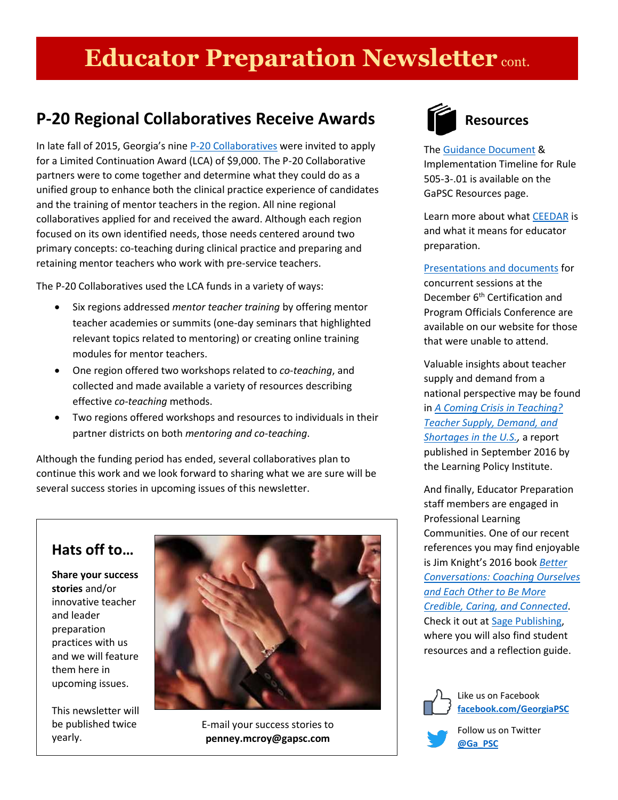# **Educator Preparation Newsletter** cont.

### **P-20 Regional Collaboratives Receive Awards**

In late fall of 2015, Georgia's nine [P-20 Collaboratives](http://www.gapsc.com/EducatorPreparation/P20_Collaborative.aspx) were invited to apply for a Limited Continuation Award (LCA) of \$9,000. The P-20 Collaborative partners were to come together and determine what they could do as a unified group to enhance both the clinical practice experience of candidates and the training of mentor teachers in the region. All nine regional collaboratives applied for and received the award. Although each region focused on its own identified needs, those needs centered around two primary concepts: co-teaching during clinical practice and preparing and retaining mentor teachers who work with pre-service teachers.

The P-20 Collaboratives used the LCA funds in a variety of ways:

- Six regions addressed *mentor teacher training* by offering mentor teacher academies or summits (one-day seminars that highlighted relevant topics related to mentoring) or creating online training modules for mentor teachers.
- One region offered two workshops related to *co-teaching*, and collected and made available a variety of resources describing effective *co-teaching* methods.
- Two regions offered workshops and resources to individuals in their partner districts on both *mentoring and co-teaching*.

Although the funding period has ended, several collaboratives plan to continue this work and we look forward to sharing what we are sure will be several success stories in upcoming issues of this newsletter.

### **Hats off to…**

**Share your success stories** and/or innovative teacher and leader preparation practices with us and we will feature them here in upcoming issues.

This newsletter will be published twice yearly.



E-mail your success stories to **penney.mcroy@gapsc.com**



#### **Resources**

The Guidance [Document](http://www.gapsc.com/EducatorPreparation/Resources/Downloads/Rule_01_Guidance_V1_%2011-15-16.pdf) & Implementation Timeline for Rule 505-3-.01 is available on the GaPSC Resources page.

Learn more about what **CEEDAR** is and what it means for educator preparation.

[Presentations and documents](http://www.gapsc.com/Commission/Media/DocsPresentations.aspx) for concurrent sessions at the December 6<sup>th</sup> Certification and Program Officials Conference are available on our website for those that were unable to attend.

Valuable insights about teacher supply and demand from a national perspective may be found in *[A Coming Crisis in Teaching?](https://learningpolicyinstitute.org/product/coming-crisis-teaching)  [Teacher Supply, Demand, and](https://learningpolicyinstitute.org/product/coming-crisis-teaching)  [Shortages in the U.S.,](https://learningpolicyinstitute.org/product/coming-crisis-teaching)* a report published in September 2016 by the Learning Policy Institute.

And finally, Educator Preparation staff members are engaged in Professional Learning Communities. One of our recent references you may find enjoyable is Jim Knight's 2016 book *[Better](https://us.sagepub.com/en-us/nam/book/better-conversations)  [Conversations: Coaching Ourselves](https://us.sagepub.com/en-us/nam/book/better-conversations)  [and Each Other to Be More](https://us.sagepub.com/en-us/nam/book/better-conversations)  [Credible, Caring, and Connected](https://us.sagepub.com/en-us/nam/book/better-conversations)*. Check it out at [Sage Publishing,](https://us.sagepub.com/en-us/nam/book/better-conversations) where you will also find student resources and a reflection guide.



Like us on Facebook **[facebook.com/GeorgiaPSC](https://www.facebook.com/GeorgiaPSC)**

Follow us on Twitter **[@Ga\\_PSC](https://twitter.com/ga_psc)**